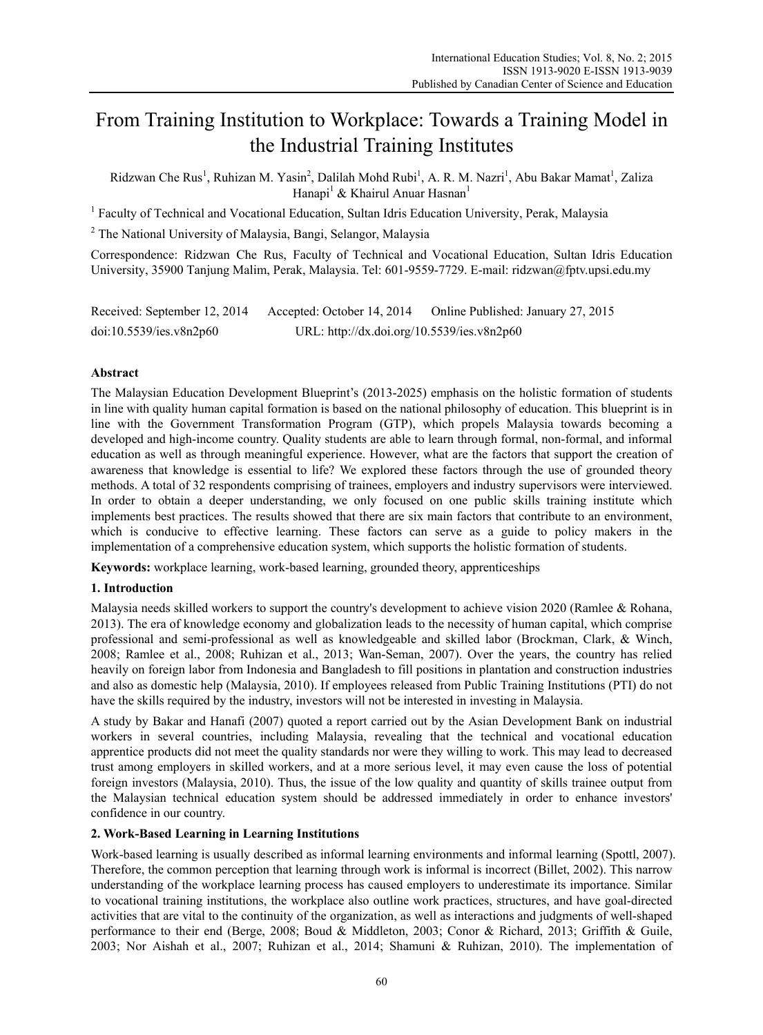# From Training Institution to Workplace: Towards a Training Model in the Industrial Training Institutes

Ridzwan Che Rus<sup>1</sup>, Ruhizan M. Yasin<sup>2</sup>, Dalilah Mohd Rubi<sup>1</sup>, A. R. M. Nazri<sup>1</sup>, Abu Bakar Mamat<sup>1</sup>, Zaliza Hanapi<sup>1</sup> & Khairul Anuar Hasnan<sup>1</sup>

<sup>1</sup> Faculty of Technical and Vocational Education, Sultan Idris Education University, Perak, Malaysia

<sup>2</sup> The National University of Malaysia, Bangi, Selangor, Malaysia

Correspondence: Ridzwan Che Rus, Faculty of Technical and Vocational Education, Sultan Idris Education University, 35900 Tanjung Malim, Perak, Malaysia. Tel: 601-9559-7729. E-mail: ridzwan@fptv.upsi.edu.my

| Received: September 12, 2014 | Accepted: October 14, 2014                 | Online Published: January 27, 2015 |
|------------------------------|--------------------------------------------|------------------------------------|
| doi:10.5539/ies.v8n2p60      | URL: http://dx.doi.org/10.5539/ies.v8n2p60 |                                    |

## **Abstract**

The Malaysian Education Development Blueprint's (2013-2025) emphasis on the holistic formation of students in line with quality human capital formation is based on the national philosophy of education. This blueprint is in line with the Government Transformation Program (GTP), which propels Malaysia towards becoming a developed and high-income country. Quality students are able to learn through formal, non-formal, and informal education as well as through meaningful experience. However, what are the factors that support the creation of awareness that knowledge is essential to life? We explored these factors through the use of grounded theory methods. A total of 32 respondents comprising of trainees, employers and industry supervisors were interviewed. In order to obtain a deeper understanding, we only focused on one public skills training institute which implements best practices. The results showed that there are six main factors that contribute to an environment, which is conducive to effective learning. These factors can serve as a guide to policy makers in the implementation of a comprehensive education system, which supports the holistic formation of students.

**Keywords:** workplace learning, work-based learning, grounded theory, apprenticeships

## **1. Introduction**

Malaysia needs skilled workers to support the country's development to achieve vision 2020 (Ramlee & Rohana, 2013). The era of knowledge economy and globalization leads to the necessity of human capital, which comprise professional and semi-professional as well as knowledgeable and skilled labor (Brockman, Clark, & Winch, 2008; Ramlee et al., 2008; Ruhizan et al., 2013; Wan-Seman, 2007). Over the years, the country has relied heavily on foreign labor from Indonesia and Bangladesh to fill positions in plantation and construction industries and also as domestic help (Malaysia, 2010). If employees released from Public Training Institutions (PTI) do not have the skills required by the industry, investors will not be interested in investing in Malaysia.

A study by Bakar and Hanafi (2007) quoted a report carried out by the Asian Development Bank on industrial workers in several countries, including Malaysia, revealing that the technical and vocational education apprentice products did not meet the quality standards nor were they willing to work. This may lead to decreased trust among employers in skilled workers, and at a more serious level, it may even cause the loss of potential foreign investors (Malaysia, 2010). Thus, the issue of the low quality and quantity of skills trainee output from the Malaysian technical education system should be addressed immediately in order to enhance investors' confidence in our country.

## **2. Work-Based Learning in Learning Institutions**

Work-based learning is usually described as informal learning environments and informal learning (Spottl, 2007). Therefore, the common perception that learning through work is informal is incorrect (Billet, 2002). This narrow understanding of the workplace learning process has caused employers to underestimate its importance. Similar to vocational training institutions, the workplace also outline work practices, structures, and have goal-directed activities that are vital to the continuity of the organization, as well as interactions and judgments of well-shaped performance to their end (Berge, 2008; Boud & Middleton, 2003; Conor & Richard, 2013; Griffith & Guile, 2003; Nor Aishah et al., 2007; Ruhizan et al., 2014; Shamuni & Ruhizan, 2010). The implementation of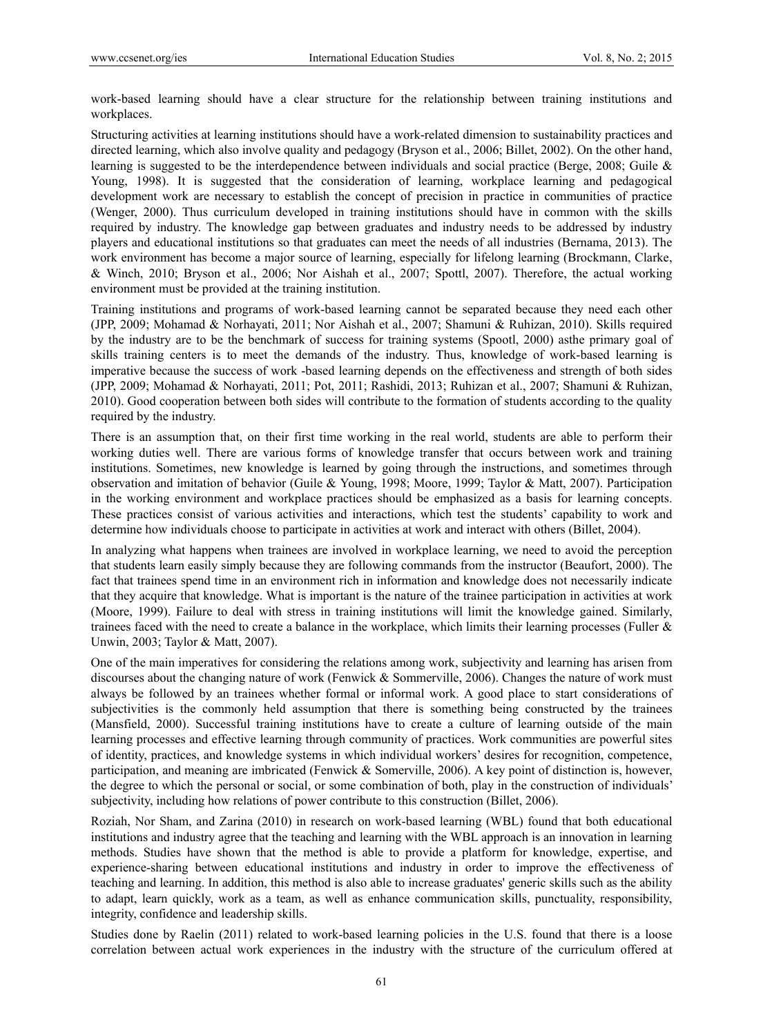work-based learning should have a clear structure for the relationship between training institutions and workplaces.

Structuring activities at learning institutions should have a work-related dimension to sustainability practices and directed learning, which also involve quality and pedagogy (Bryson et al., 2006; Billet, 2002). On the other hand, learning is suggested to be the interdependence between individuals and social practice (Berge, 2008; Guile & Young, 1998). It is suggested that the consideration of learning, workplace learning and pedagogical development work are necessary to establish the concept of precision in practice in communities of practice (Wenger, 2000). Thus curriculum developed in training institutions should have in common with the skills required by industry. The knowledge gap between graduates and industry needs to be addressed by industry players and educational institutions so that graduates can meet the needs of all industries (Bernama, 2013). The work environment has become a major source of learning, especially for lifelong learning (Brockmann, Clarke, & Winch, 2010; Bryson et al., 2006; Nor Aishah et al., 2007; Spottl, 2007). Therefore, the actual working environment must be provided at the training institution.

Training institutions and programs of work-based learning cannot be separated because they need each other (JPP, 2009; Mohamad & Norhayati, 2011; Nor Aishah et al., 2007; Shamuni & Ruhizan, 2010). Skills required by the industry are to be the benchmark of success for training systems (Spootl, 2000) asthe primary goal of skills training centers is to meet the demands of the industry. Thus, knowledge of work-based learning is imperative because the success of work -based learning depends on the effectiveness and strength of both sides (JPP, 2009; Mohamad & Norhayati, 2011; Pot, 2011; Rashidi, 2013; Ruhizan et al., 2007; Shamuni & Ruhizan, 2010). Good cooperation between both sides will contribute to the formation of students according to the quality required by the industry.

There is an assumption that, on their first time working in the real world, students are able to perform their working duties well. There are various forms of knowledge transfer that occurs between work and training institutions. Sometimes, new knowledge is learned by going through the instructions, and sometimes through observation and imitation of behavior (Guile & Young, 1998; Moore, 1999; Taylor & Matt, 2007). Participation in the working environment and workplace practices should be emphasized as a basis for learning concepts. These practices consist of various activities and interactions, which test the students' capability to work and determine how individuals choose to participate in activities at work and interact with others (Billet, 2004).

In analyzing what happens when trainees are involved in workplace learning, we need to avoid the perception that students learn easily simply because they are following commands from the instructor (Beaufort, 2000). The fact that trainees spend time in an environment rich in information and knowledge does not necessarily indicate that they acquire that knowledge. What is important is the nature of the trainee participation in activities at work (Moore, 1999). Failure to deal with stress in training institutions will limit the knowledge gained. Similarly, trainees faced with the need to create a balance in the workplace, which limits their learning processes (Fuller  $\&$ Unwin, 2003; Taylor & Matt, 2007).

One of the main imperatives for considering the relations among work, subjectivity and learning has arisen from discourses about the changing nature of work (Fenwick & Sommerville, 2006). Changes the nature of work must always be followed by an trainees whether formal or informal work. A good place to start considerations of subjectivities is the commonly held assumption that there is something being constructed by the trainees (Mansfield, 2000). Successful training institutions have to create a culture of learning outside of the main learning processes and effective learning through community of practices. Work communities are powerful sites of identity, practices, and knowledge systems in which individual workers' desires for recognition, competence, participation, and meaning are imbricated (Fenwick & Somerville, 2006). A key point of distinction is, however, the degree to which the personal or social, or some combination of both, play in the construction of individuals' subjectivity, including how relations of power contribute to this construction (Billet, 2006).

Roziah, Nor Sham, and Zarina (2010) in research on work-based learning (WBL) found that both educational institutions and industry agree that the teaching and learning with the WBL approach is an innovation in learning methods. Studies have shown that the method is able to provide a platform for knowledge, expertise, and experience-sharing between educational institutions and industry in order to improve the effectiveness of teaching and learning. In addition, this method is also able to increase graduates' generic skills such as the ability to adapt, learn quickly, work as a team, as well as enhance communication skills, punctuality, responsibility, integrity, confidence and leadership skills.

Studies done by Raelin (2011) related to work-based learning policies in the U.S. found that there is a loose correlation between actual work experiences in the industry with the structure of the curriculum offered at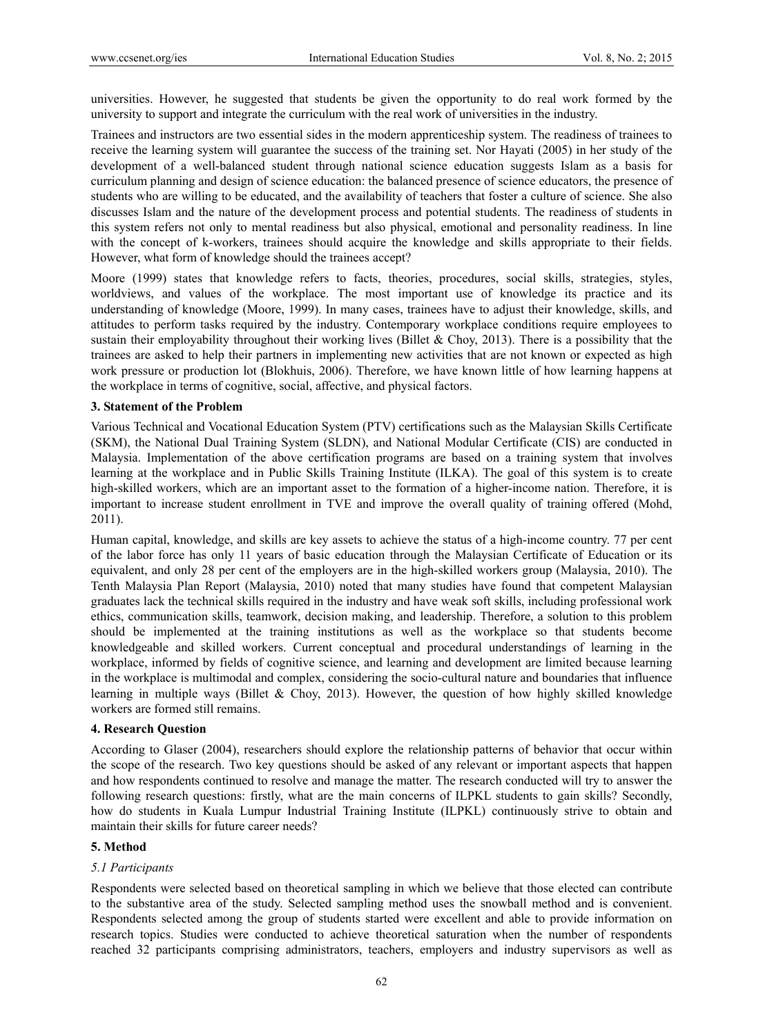universities. However, he suggested that students be given the opportunity to do real work formed by the university to support and integrate the curriculum with the real work of universities in the industry.

Trainees and instructors are two essential sides in the modern apprenticeship system. The readiness of trainees to receive the learning system will guarantee the success of the training set. Nor Hayati (2005) in her study of the development of a well-balanced student through national science education suggests Islam as a basis for curriculum planning and design of science education: the balanced presence of science educators, the presence of students who are willing to be educated, and the availability of teachers that foster a culture of science. She also discusses Islam and the nature of the development process and potential students. The readiness of students in this system refers not only to mental readiness but also physical, emotional and personality readiness. In line with the concept of k-workers, trainees should acquire the knowledge and skills appropriate to their fields. However, what form of knowledge should the trainees accept?

Moore (1999) states that knowledge refers to facts, theories, procedures, social skills, strategies, styles, worldviews, and values of the workplace. The most important use of knowledge its practice and its understanding of knowledge (Moore, 1999). In many cases, trainees have to adjust their knowledge, skills, and attitudes to perform tasks required by the industry. Contemporary workplace conditions require employees to sustain their employability throughout their working lives (Billet & Choy, 2013). There is a possibility that the trainees are asked to help their partners in implementing new activities that are not known or expected as high work pressure or production lot (Blokhuis, 2006). Therefore, we have known little of how learning happens at the workplace in terms of cognitive, social, affective, and physical factors.

#### **3. Statement of the Problem**

Various Technical and Vocational Education System (PTV) certifications such as the Malaysian Skills Certificate (SKM), the National Dual Training System (SLDN), and National Modular Certificate (CIS) are conducted in Malaysia. Implementation of the above certification programs are based on a training system that involves learning at the workplace and in Public Skills Training Institute (ILKA). The goal of this system is to create high-skilled workers, which are an important asset to the formation of a higher-income nation. Therefore, it is important to increase student enrollment in TVE and improve the overall quality of training offered (Mohd, 2011).

Human capital, knowledge, and skills are key assets to achieve the status of a high-income country. 77 per cent of the labor force has only 11 years of basic education through the Malaysian Certificate of Education or its equivalent, and only 28 per cent of the employers are in the high-skilled workers group (Malaysia, 2010). The Tenth Malaysia Plan Report (Malaysia, 2010) noted that many studies have found that competent Malaysian graduates lack the technical skills required in the industry and have weak soft skills, including professional work ethics, communication skills, teamwork, decision making, and leadership. Therefore, a solution to this problem should be implemented at the training institutions as well as the workplace so that students become knowledgeable and skilled workers. Current conceptual and procedural understandings of learning in the workplace, informed by fields of cognitive science, and learning and development are limited because learning in the workplace is multimodal and complex, considering the socio-cultural nature and boundaries that influence learning in multiple ways (Billet & Choy, 2013). However, the question of how highly skilled knowledge workers are formed still remains.

#### **4. Research Question**

According to Glaser (2004), researchers should explore the relationship patterns of behavior that occur within the scope of the research. Two key questions should be asked of any relevant or important aspects that happen and how respondents continued to resolve and manage the matter. The research conducted will try to answer the following research questions: firstly, what are the main concerns of ILPKL students to gain skills? Secondly, how do students in Kuala Lumpur Industrial Training Institute (ILPKL) continuously strive to obtain and maintain their skills for future career needs?

#### **5. Method**

#### *5.1 Participants*

Respondents were selected based on theoretical sampling in which we believe that those elected can contribute to the substantive area of the study. Selected sampling method uses the snowball method and is convenient. Respondents selected among the group of students started were excellent and able to provide information on research topics. Studies were conducted to achieve theoretical saturation when the number of respondents reached 32 participants comprising administrators, teachers, employers and industry supervisors as well as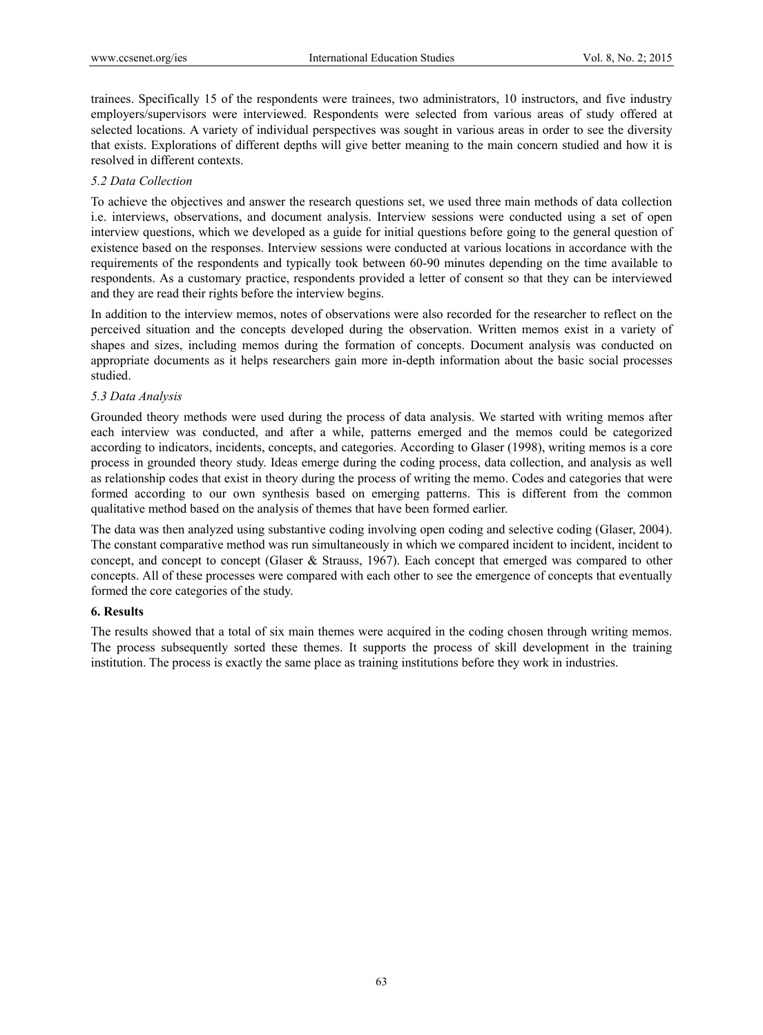trainees. Specifically 15 of the respondents were trainees, two administrators, 10 instructors, and five industry employers/supervisors were interviewed. Respondents were selected from various areas of study offered at selected locations. A variety of individual perspectives was sought in various areas in order to see the diversity that exists. Explorations of different depths will give better meaning to the main concern studied and how it is resolved in different contexts.

#### *5.2 Data Collection*

To achieve the objectives and answer the research questions set, we used three main methods of data collection i.e. interviews, observations, and document analysis. Interview sessions were conducted using a set of open interview questions, which we developed as a guide for initial questions before going to the general question of existence based on the responses. Interview sessions were conducted at various locations in accordance with the requirements of the respondents and typically took between 60-90 minutes depending on the time available to respondents. As a customary practice, respondents provided a letter of consent so that they can be interviewed and they are read their rights before the interview begins.

In addition to the interview memos, notes of observations were also recorded for the researcher to reflect on the perceived situation and the concepts developed during the observation. Written memos exist in a variety of shapes and sizes, including memos during the formation of concepts. Document analysis was conducted on appropriate documents as it helps researchers gain more in-depth information about the basic social processes studied.

#### *5.3 Data Analysis*

Grounded theory methods were used during the process of data analysis. We started with writing memos after each interview was conducted, and after a while, patterns emerged and the memos could be categorized according to indicators, incidents, concepts, and categories. According to Glaser (1998), writing memos is a core process in grounded theory study. Ideas emerge during the coding process, data collection, and analysis as well as relationship codes that exist in theory during the process of writing the memo. Codes and categories that were formed according to our own synthesis based on emerging patterns. This is different from the common qualitative method based on the analysis of themes that have been formed earlier.

The data was then analyzed using substantive coding involving open coding and selective coding (Glaser, 2004). The constant comparative method was run simultaneously in which we compared incident to incident, incident to concept, and concept to concept (Glaser & Strauss, 1967). Each concept that emerged was compared to other concepts. All of these processes were compared with each other to see the emergence of concepts that eventually formed the core categories of the study.

## **6. Results**

The results showed that a total of six main themes were acquired in the coding chosen through writing memos. The process subsequently sorted these themes. It supports the process of skill development in the training institution. The process is exactly the same place as training institutions before they work in industries.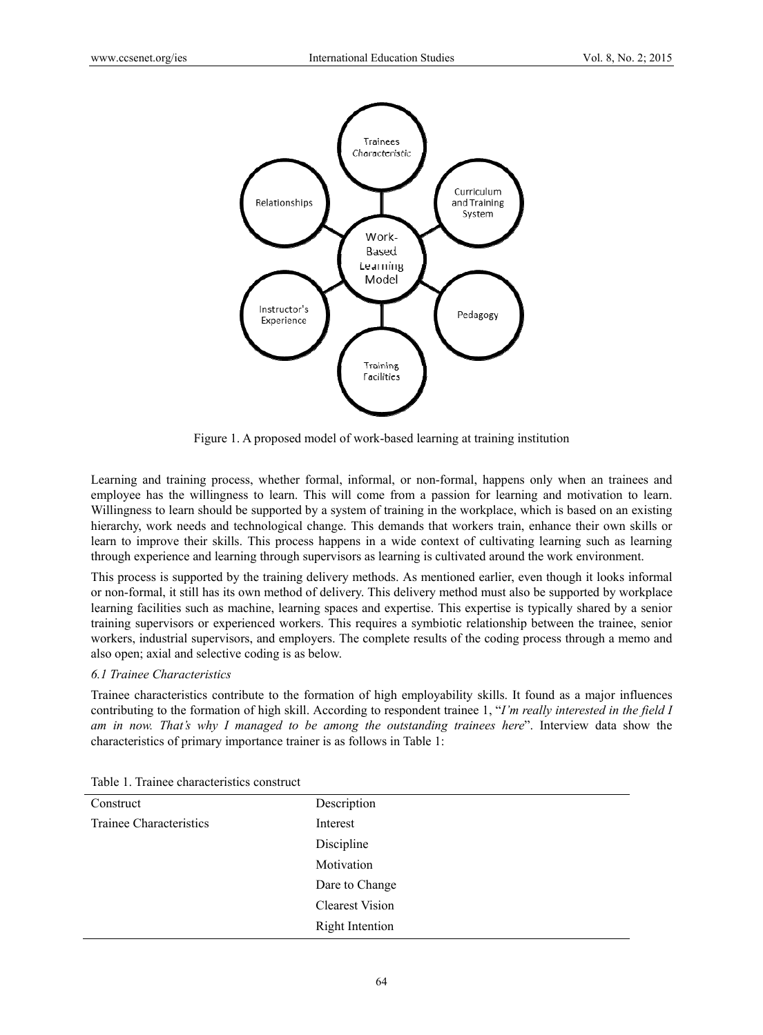

Figure 1. A proposed model of work-based learning at training institution

Learning and training process, whether formal, informal, or non-formal, happens only when an trainees and employee has the willingness to learn. This will come from a passion for learning and motivation to learn. Willingness to learn should be supported by a system of training in the workplace, which is based on an existing hierarchy, work needs and technological change. This demands that workers train, enhance their own skills or learn to improve their skills. This process happens in a wide context of cultivating learning such as learning through experience and learning through supervisors as learning is cultivated around the work environment.

This process is supported by the training delivery methods. As mentioned earlier, even though it looks informal or non-formal, it still has its own method of delivery. This delivery method must also be supported by workplace learning facilities such as machine, learning spaces and expertise. This expertise is typically shared by a senior training supervisors or experienced workers. This requires a symbiotic relationship between the trainee, senior workers, industrial supervisors, and employers. The complete results of the coding process through a memo and also open; axial and selective coding is as below.

#### *6.1 Trainee Characteristics*

Trainee characteristics contribute to the formation of high employability skills. It found as a major influences contributing to the formation of high skill. According to respondent trainee 1, "*I'm really interested in the field I am in now. That's why I managed to be among the outstanding trainees here*". Interview data show the characteristics of primary importance trainer is as follows in Table 1:

|  |  | Table 1. Trainee characteristics construct |  |
|--|--|--------------------------------------------|--|
|--|--|--------------------------------------------|--|

| Construct               | Description            |
|-------------------------|------------------------|
| Trainee Characteristics | Interest               |
|                         | Discipline             |
|                         | Motivation             |
|                         | Dare to Change         |
|                         | <b>Clearest Vision</b> |
|                         | Right Intention        |
|                         |                        |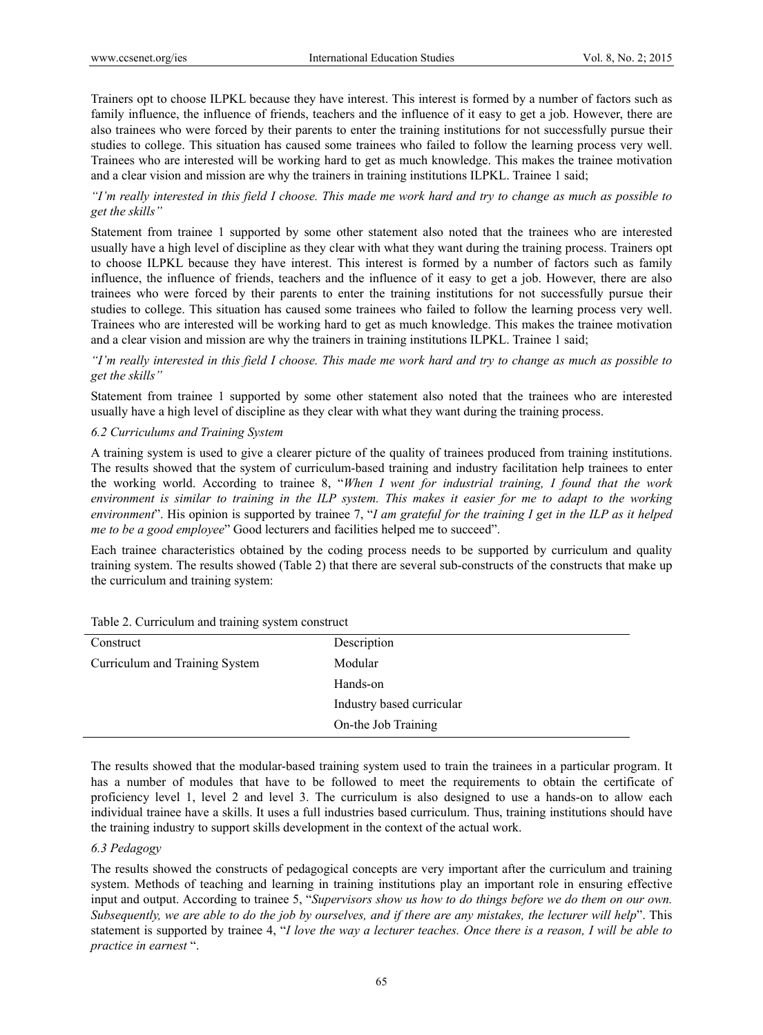Trainers opt to choose ILPKL because they have interest. This interest is formed by a number of factors such as family influence, the influence of friends, teachers and the influence of it easy to get a job. However, there are also trainees who were forced by their parents to enter the training institutions for not successfully pursue their studies to college. This situation has caused some trainees who failed to follow the learning process very well. Trainees who are interested will be working hard to get as much knowledge. This makes the trainee motivation and a clear vision and mission are why the trainers in training institutions ILPKL. Trainee 1 said;

*"I'm really interested in this field I choose. This made me work hard and try to change as much as possible to get the skills"* 

Statement from trainee 1 supported by some other statement also noted that the trainees who are interested usually have a high level of discipline as they clear with what they want during the training process. Trainers opt to choose ILPKL because they have interest. This interest is formed by a number of factors such as family influence, the influence of friends, teachers and the influence of it easy to get a job. However, there are also trainees who were forced by their parents to enter the training institutions for not successfully pursue their studies to college. This situation has caused some trainees who failed to follow the learning process very well. Trainees who are interested will be working hard to get as much knowledge. This makes the trainee motivation and a clear vision and mission are why the trainers in training institutions ILPKL. Trainee 1 said;

*"I'm really interested in this field I choose. This made me work hard and try to change as much as possible to get the skills"* 

Statement from trainee 1 supported by some other statement also noted that the trainees who are interested usually have a high level of discipline as they clear with what they want during the training process.

## *6.2 Curriculums and Training System*

A training system is used to give a clearer picture of the quality of trainees produced from training institutions. The results showed that the system of curriculum-based training and industry facilitation help trainees to enter the working world. According to trainee 8, "*When I went for industrial training, I found that the work environment is similar to training in the ILP system. This makes it easier for me to adapt to the working environment*". His opinion is supported by trainee 7, "*I am grateful for the training I get in the ILP as it helped me to be a good employee*" Good lecturers and facilities helped me to succeed".

Each trainee characteristics obtained by the coding process needs to be supported by curriculum and quality training system. The results showed (Table 2) that there are several sub-constructs of the constructs that make up the curriculum and training system:

| Construct                      | Description               |
|--------------------------------|---------------------------|
|                                |                           |
| Curriculum and Training System | Modular                   |
|                                | Hands-on                  |
|                                | Industry based curricular |
|                                | On-the Job Training       |

|  |  | Table 2. Curriculum and training system construct |
|--|--|---------------------------------------------------|
|  |  |                                                   |

The results showed that the modular-based training system used to train the trainees in a particular program. It has a number of modules that have to be followed to meet the requirements to obtain the certificate of proficiency level 1, level 2 and level 3. The curriculum is also designed to use a hands-on to allow each individual trainee have a skills. It uses a full industries based curriculum. Thus, training institutions should have the training industry to support skills development in the context of the actual work.

## *6.3 Pedagogy*

The results showed the constructs of pedagogical concepts are very important after the curriculum and training system. Methods of teaching and learning in training institutions play an important role in ensuring effective input and output. According to trainee 5, "*Supervisors show us how to do things before we do them on our own. Subsequently, we are able to do the job by ourselves, and if there are any mistakes, the lecturer will help*". This statement is supported by trainee 4, "*I love the way a lecturer teaches. Once there is a reason, I will be able to practice in earnest* ".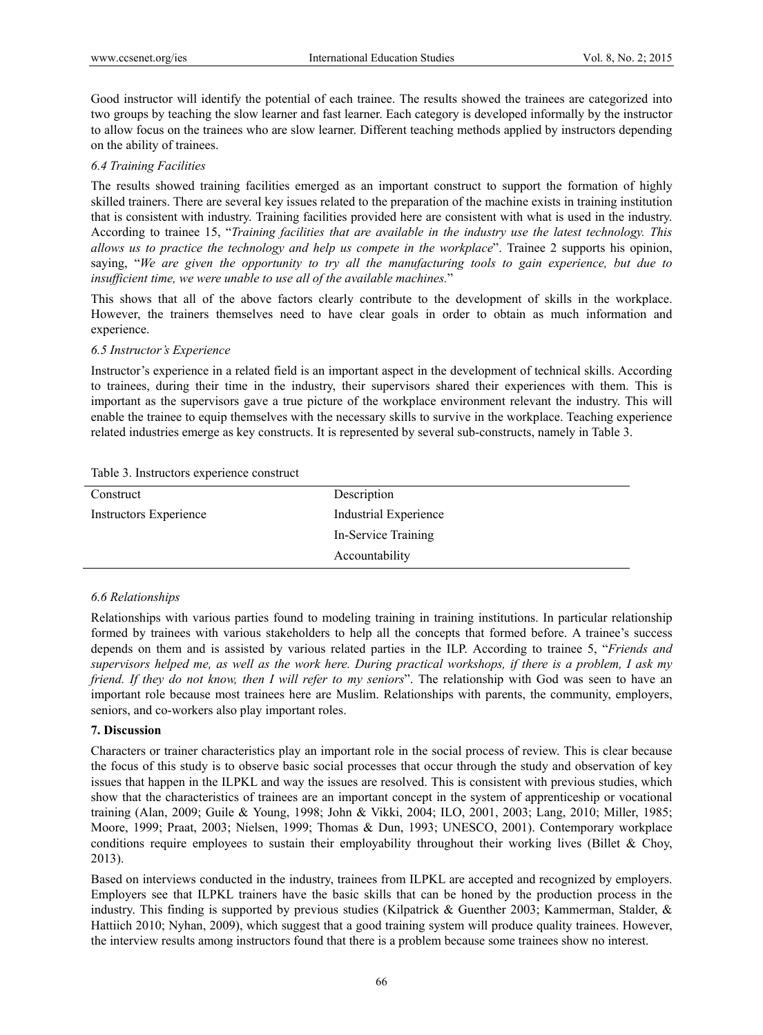Good instructor will identify the potential of each trainee. The results showed the trainees are categorized into two groups by teaching the slow learner and fast learner. Each category is developed informally by the instructor to allow focus on the trainees who are slow learner. Different teaching methods applied by instructors depending on the ability of trainees.

#### *6.4 Training Facilities*

The results showed training facilities emerged as an important construct to support the formation of highly skilled trainers. There are several key issues related to the preparation of the machine exists in training institution that is consistent with industry. Training facilities provided here are consistent with what is used in the industry. According to trainee 15, "*Training facilities that are available in the industry use the latest technology. This allows us to practice the technology and help us compete in the workplace*". Trainee 2 supports his opinion, saying, "*We are given the opportunity to try all the manufacturing tools to gain experience, but due to insufficient time, we were unable to use all of the available machines.*"

This shows that all of the above factors clearly contribute to the development of skills in the workplace. However, the trainers themselves need to have clear goals in order to obtain as much information and experience.

#### *6.5 Instructor's Experience*

Instructor's experience in a related field is an important aspect in the development of technical skills. According to trainees, during their time in the industry, their supervisors shared their experiences with them. This is important as the supervisors gave a true picture of the workplace environment relevant the industry. This will enable the trainee to equip themselves with the necessary skills to survive in the workplace. Teaching experience related industries emerge as key constructs. It is represented by several sub-constructs, namely in Table 3.

| <i>rwore of monderoro enperience conou acc</i> |                       |
|------------------------------------------------|-----------------------|
| Construct                                      | Description           |
| <b>Instructors Experience</b>                  | Industrial Experience |
|                                                | In-Service Training   |
|                                                | Accountability        |
|                                                |                       |

Table 3. Instructors experience construct

## *6.6 Relationships*

Relationships with various parties found to modeling training in training institutions. In particular relationship formed by trainees with various stakeholders to help all the concepts that formed before. A trainee's success depends on them and is assisted by various related parties in the ILP. According to trainee 5, "*Friends and supervisors helped me, as well as the work here. During practical workshops, if there is a problem, I ask my friend. If they do not know, then I will refer to my seniors*". The relationship with God was seen to have an important role because most trainees here are Muslim. Relationships with parents, the community, employers, seniors, and co-workers also play important roles.

#### **7. Discussion**

Characters or trainer characteristics play an important role in the social process of review. This is clear because the focus of this study is to observe basic social processes that occur through the study and observation of key issues that happen in the ILPKL and way the issues are resolved. This is consistent with previous studies, which show that the characteristics of trainees are an important concept in the system of apprenticeship or vocational training (Alan, 2009; Guile & Young, 1998; John & Vikki, 2004; ILO, 2001, 2003; Lang, 2010; Miller, 1985; Moore, 1999; Praat, 2003; Nielsen, 1999; Thomas & Dun, 1993; UNESCO, 2001). Contemporary workplace conditions require employees to sustain their employability throughout their working lives (Billet  $\&$  Choy, 2013).

Based on interviews conducted in the industry, trainees from ILPKL are accepted and recognized by employers. Employers see that ILPKL trainers have the basic skills that can be honed by the production process in the industry. This finding is supported by previous studies (Kilpatrick & Guenther 2003; Kammerman, Stalder, & Hattiich 2010; Nyhan, 2009), which suggest that a good training system will produce quality trainees. However, the interview results among instructors found that there is a problem because some trainees show no interest.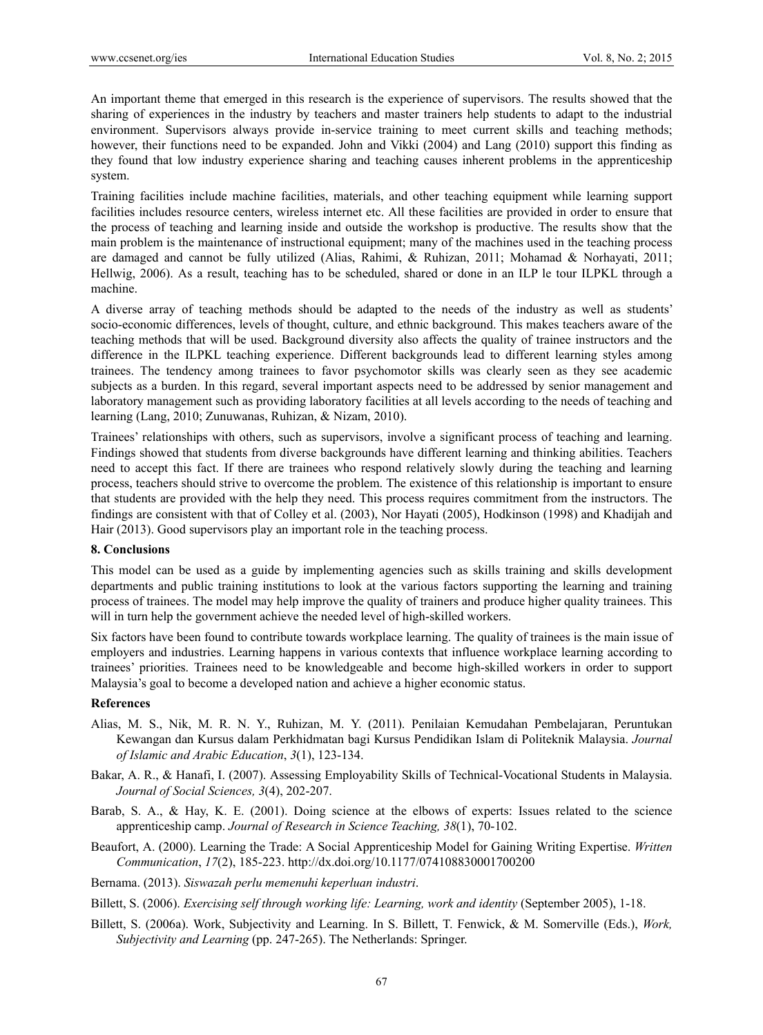An important theme that emerged in this research is the experience of supervisors. The results showed that the sharing of experiences in the industry by teachers and master trainers help students to adapt to the industrial environment. Supervisors always provide in-service training to meet current skills and teaching methods; however, their functions need to be expanded. John and Vikki (2004) and Lang (2010) support this finding as they found that low industry experience sharing and teaching causes inherent problems in the apprenticeship system.

Training facilities include machine facilities, materials, and other teaching equipment while learning support facilities includes resource centers, wireless internet etc. All these facilities are provided in order to ensure that the process of teaching and learning inside and outside the workshop is productive. The results show that the main problem is the maintenance of instructional equipment; many of the machines used in the teaching process are damaged and cannot be fully utilized (Alias, Rahimi, & Ruhizan, 2011; Mohamad & Norhayati, 2011; Hellwig, 2006). As a result, teaching has to be scheduled, shared or done in an ILP le tour ILPKL through a machine.

A diverse array of teaching methods should be adapted to the needs of the industry as well as students' socio-economic differences, levels of thought, culture, and ethnic background. This makes teachers aware of the teaching methods that will be used. Background diversity also affects the quality of trainee instructors and the difference in the ILPKL teaching experience. Different backgrounds lead to different learning styles among trainees. The tendency among trainees to favor psychomotor skills was clearly seen as they see academic subjects as a burden. In this regard, several important aspects need to be addressed by senior management and laboratory management such as providing laboratory facilities at all levels according to the needs of teaching and learning (Lang, 2010; Zunuwanas, Ruhizan, & Nizam, 2010).

Trainees' relationships with others, such as supervisors, involve a significant process of teaching and learning. Findings showed that students from diverse backgrounds have different learning and thinking abilities. Teachers need to accept this fact. If there are trainees who respond relatively slowly during the teaching and learning process, teachers should strive to overcome the problem. The existence of this relationship is important to ensure that students are provided with the help they need. This process requires commitment from the instructors. The findings are consistent with that of Colley et al. (2003), Nor Hayati (2005), Hodkinson (1998) and Khadijah and Hair (2013). Good supervisors play an important role in the teaching process.

#### **8. Conclusions**

This model can be used as a guide by implementing agencies such as skills training and skills development departments and public training institutions to look at the various factors supporting the learning and training process of trainees. The model may help improve the quality of trainers and produce higher quality trainees. This will in turn help the government achieve the needed level of high-skilled workers.

Six factors have been found to contribute towards workplace learning. The quality of trainees is the main issue of employers and industries. Learning happens in various contexts that influence workplace learning according to trainees' priorities. Trainees need to be knowledgeable and become high-skilled workers in order to support Malaysia's goal to become a developed nation and achieve a higher economic status.

#### **References**

- Alias, M. S., Nik, M. R. N. Y., Ruhizan, M. Y. (2011). Penilaian Kemudahan Pembelajaran, Peruntukan Kewangan dan Kursus dalam Perkhidmatan bagi Kursus Pendidikan Islam di Politeknik Malaysia. *Journal of Islamic and Arabic Education*, *3*(1), 123-134.
- Bakar, A. R., & Hanafi, I. (2007). Assessing Employability Skills of Technical-Vocational Students in Malaysia. *Journal of Social Sciences, 3*(4), 202-207.
- Barab, S. A., & Hay, K. E. (2001). Doing science at the elbows of experts: Issues related to the science apprenticeship camp. *Journal of Research in Science Teaching, 38*(1), 70-102.
- Beaufort, A. (2000). Learning the Trade: A Social Apprenticeship Model for Gaining Writing Expertise. *Written Communication*, *17*(2), 185-223. http://dx.doi.org/10.1177/074108830001700200

Bernama. (2013). *Siswazah perlu memenuhi keperluan industri*.

Billett, S. (2006). *Exercising self through working life: Learning, work and identity* (September 2005), 1-18.

Billett, S. (2006a). Work, Subjectivity and Learning. In S. Billett, T. Fenwick, & M. Somerville (Eds.), *Work, Subjectivity and Learning* (pp. 247-265). The Netherlands: Springer.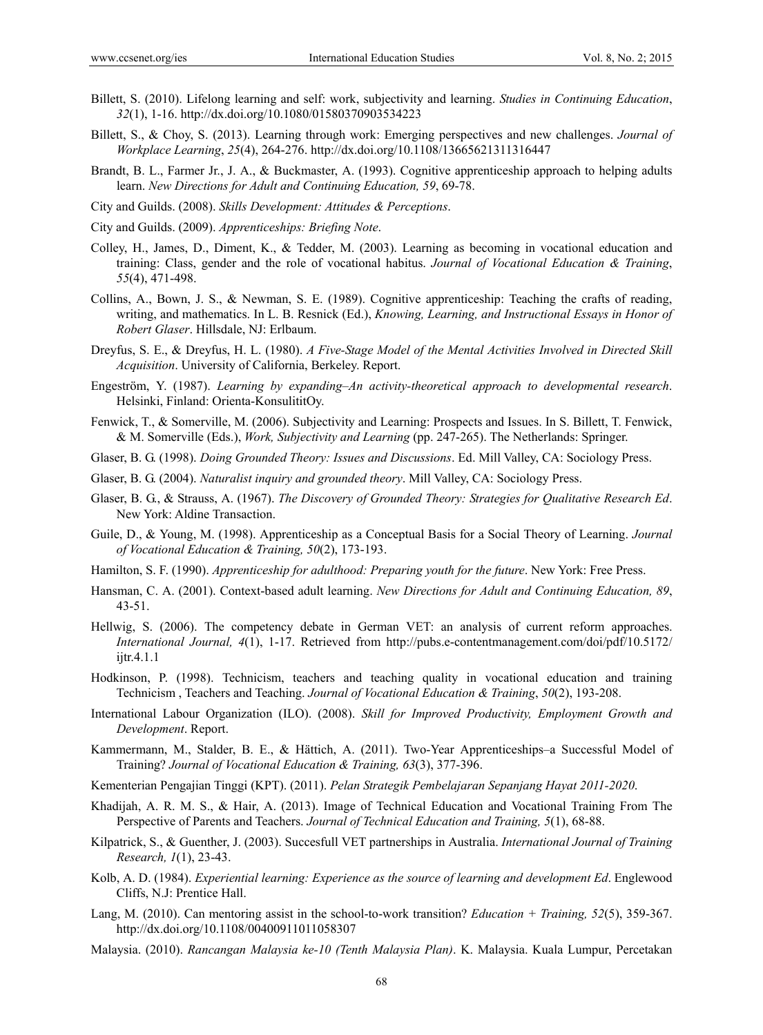- Billett, S. (2010). Lifelong learning and self: work, subjectivity and learning. *Studies in Continuing Education*, *32*(1), 1-16. http://dx.doi.org/10.1080/01580370903534223
- Billett, S., & Choy, S. (2013). Learning through work: Emerging perspectives and new challenges. *Journal of Workplace Learning*, *25*(4), 264-276. http://dx.doi.org/10.1108/13665621311316447
- Brandt, B. L., Farmer Jr., J. A., & Buckmaster, A. (1993). Cognitive apprenticeship approach to helping adults learn. *New Directions for Adult and Continuing Education, 59*, 69-78.
- City and Guilds. (2008). *Skills Development: Attitudes & Perceptions*.
- City and Guilds. (2009). *Apprenticeships: Briefing Note*.
- Colley, H., James, D., Diment, K., & Tedder, M. (2003). Learning as becoming in vocational education and training: Class, gender and the role of vocational habitus. *Journal of Vocational Education & Training*, *55*(4), 471-498.
- Collins, A., Bown, J. S., & Newman, S. E. (1989). Cognitive apprenticeship: Teaching the crafts of reading, writing, and mathematics. In L. B. Resnick (Ed.), *Knowing, Learning, and Instructional Essays in Honor of Robert Glaser*. Hillsdale, NJ: Erlbaum.
- Dreyfus, S. E., & Dreyfus, H. L. (1980). *A Five-Stage Model of the Mental Activities Involved in Directed Skill Acquisition*. University of California, Berkeley. Report.
- Engeström, Y. (1987). *Learning by expanding–An activity-theoretical approach to developmental research*. Helsinki, Finland: Orienta-KonsulititOy.
- Fenwick, T., & Somerville, M. (2006). Subjectivity and Learning: Prospects and Issues. In S. Billett, T. Fenwick, & M. Somerville (Eds.), *Work, Subjectivity and Learning* (pp. 247-265). The Netherlands: Springer.
- Glaser, B. G. (1998). *Doing Grounded Theory: Issues and Discussions*. Ed. Mill Valley, CA: Sociology Press.
- Glaser, B. G. (2004). *Naturalist inquiry and grounded theory*. Mill Valley, CA: Sociology Press.
- Glaser, B. G., & Strauss, A. (1967). *The Discovery of Grounded Theory: Strategies for Qualitative Research Ed*. New York: Aldine Transaction.
- Guile, D., & Young, M. (1998). Apprenticeship as a Conceptual Basis for a Social Theory of Learning. *Journal of Vocational Education & Training, 50*(2), 173-193.
- Hamilton, S. F. (1990). *Apprenticeship for adulthood: Preparing youth for the future*. New York: Free Press.
- Hansman, C. A. (2001). Context-based adult learning. *New Directions for Adult and Continuing Education, 89*, 43-51.
- Hellwig, S. (2006). The competency debate in German VET: an analysis of current reform approaches. *International Journal, 4*(1), 1-17. Retrieved from http://pubs.e-contentmanagement.com/doi/pdf/10.5172/ ijtr.4.1.1
- Hodkinson, P. (1998). Technicism, teachers and teaching quality in vocational education and training Technicism , Teachers and Teaching. *Journal of Vocational Education & Training*, *50*(2), 193-208.
- International Labour Organization (ILO). (2008). *Skill for Improved Productivity, Employment Growth and Development*. Report.
- Kammermann, M., Stalder, B. E., & Hättich, A. (2011). Two-Year Apprenticeships–a Successful Model of Training? *Journal of Vocational Education & Training, 63*(3), 377-396.
- Kementerian Pengajian Tinggi (KPT). (2011). *Pelan Strategik Pembelajaran Sepanjang Hayat 2011-2020*.
- Khadijah, A. R. M. S., & Hair, A. (2013). Image of Technical Education and Vocational Training From The Perspective of Parents and Teachers. *Journal of Technical Education and Training, 5*(1), 68-88.
- Kilpatrick, S., & Guenther, J. (2003). Succesfull VET partnerships in Australia. *International Journal of Training Research, 1*(1), 23-43.
- Kolb, A. D. (1984). *Experiential learning: Experience as the source of learning and development Ed*. Englewood Cliffs, N.J: Prentice Hall.
- Lang, M. (2010). Can mentoring assist in the school-to-work transition? *Education + Training, 52*(5), 359-367. http://dx.doi.org/10.1108/00400911011058307
- Malaysia. (2010). *Rancangan Malaysia ke-10 (Tenth Malaysia Plan)*. K. Malaysia. Kuala Lumpur, Percetakan